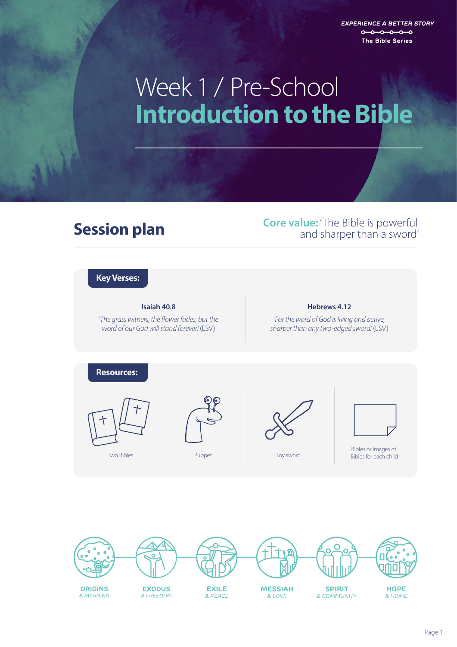**EXPERIENCE A BETTER STORY**  $0 - 0 - 0 - 0 - 0$ The Bible Series

# **Introduction to the Bible**  Week 1 / Pre-School

**Session plan Core value:** 'The Bible is powerful<br>
and sharper than a sword' and sharper than a sword'

### **Key Verses:**

#### **Isaiah 40.8**

*'The grass withers, the flower fades, but the word of our God will stand forever.'* (ESV)

#### **Hebrews 4.12**

*'For the word of God is living and active, sharper than any two-edged sword.'* (ESV)



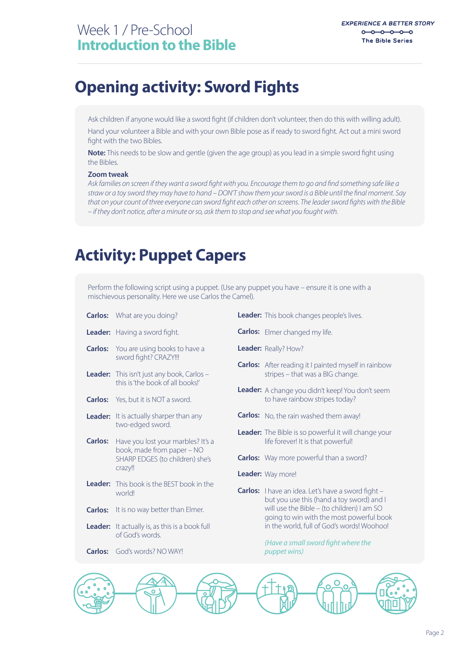### **Opening activity: Sword Fights**

Ask children if anyone would like a sword fight (if children don't volunteer, then do this with willing adult).

Hand your volunteer a Bible and with your own Bible pose as if ready to sword fight. Act out a mini sword fight with the two Bibles.

**Note:** This needs to be slow and gentle (given the age group) as you lead in a simple sword fight using the Bibles.

#### **Zoom tweak**

Ask families on screen if they want a sword fight with you. Encourage them to go and find something safe like a straw or a toy sword they may have to hand – DON'T show them your sword is a Bible until the final moment. Say that on your count of three everyone can sword fight each other on screens. The leader sword fights with the Bible *– if they don't notice, after a minute or so, ask them to stop and see what you fought with.*

## **Activity: Puppet Capers**

Perform the following script using a puppet. (Use any puppet you have – ensure it is one with a mischievous personality. Here we use Carlos the Camel).

- **Carlos:** What are you doing? Leader: Having a sword fight. **Carlos:** You are using books to have a **Leader:** This isn't just any book, Carlos – **Carlos:** Yes, but it is NOT a sword. Leader: It actually is, as this is a book full **Carlos:** God's words? NO WAY! Leader: It is actually sharper than any **Carlos:** Have you lost your marbles? It's a **Carlos:** It is no way better than Elmer. **Leader:** This book is the BEST book in the sword fight? CRAZY!!! this is 'the book of all books!' two-edged sword. book, made from paper – NO SHARP EDGES (to children) she's crazy!! world! of God's words.
- **Leader:** This book changes people's lives.
- **Carlos:** Elmer changed my life.
- **Leader:** Really? How?
- **Carlos:** After reading it I painted myself in rainbow stripes – that was a BIG change.
- **Leader:** A change you didn't keep! You don't seem to have rainbow stripes today?
- **Carlos:** No, the rain washed them away!
- **Leader:** The Bible is so powerful it will change your life forever! It is that powerful!
- **Carlos:** Way more powerful than a sword?
- **Leader:** Way more!
- Carlos: I have an idea. Let's have a sword fight but you use this (hand a toy sword) and I will use the Bible – (to children) I am SO going to win with the most powerful book in the world, full of God's words! Woohoo!

*(Have a small sword fight where the puppet wins)*